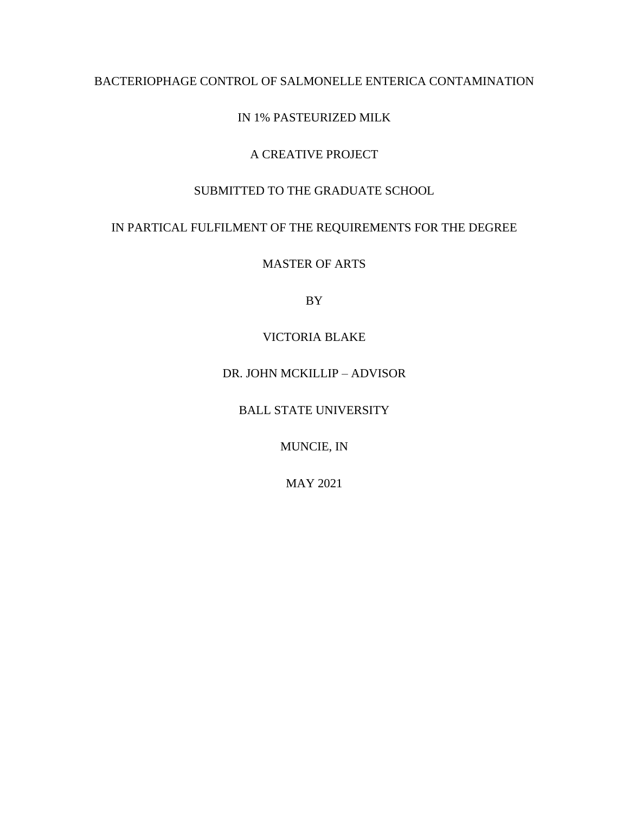# BACTERIOPHAGE CONTROL OF SALMONELLE ENTERICA CONTAMINATION

# IN 1% PASTEURIZED MILK

# A CREATIVE PROJECT

### SUBMITTED TO THE GRADUATE SCHOOL

# IN PARTICAL FULFILMENT OF THE REQUIREMENTS FOR THE DEGREE

MASTER OF ARTS

BY

# VICTORIA BLAKE

# DR. JOHN MCKILLIP – ADVISOR

### BALL STATE UNIVERSITY

# MUNCIE, IN

### MAY 2021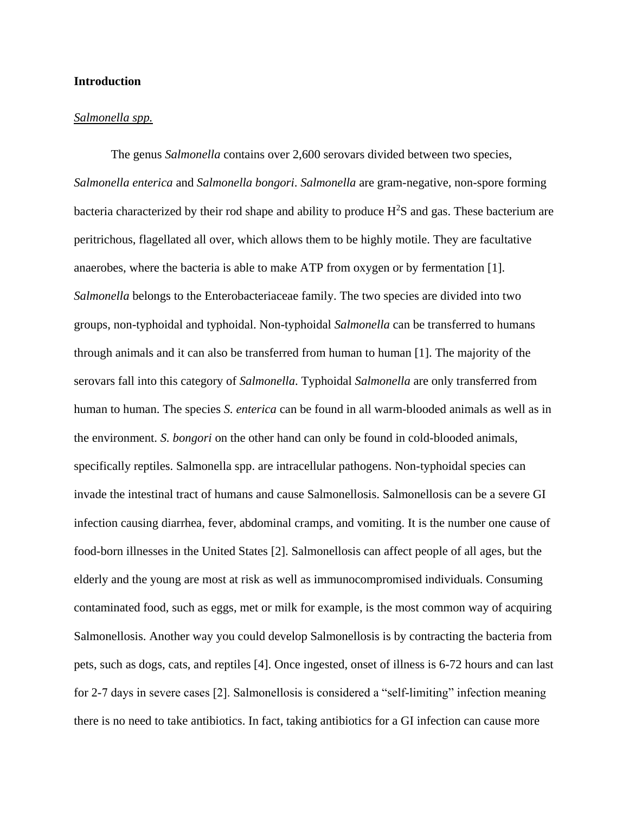### **Introduction**

#### *Salmonella spp.*

The genus *Salmonella* contains over 2,600 serovars divided between two species, *Salmonella enterica* and *Salmonella bongori*. *Salmonella* are gram-negative, non-spore forming bacteria characterized by their rod shape and ability to produce  $H<sup>2</sup>S$  and gas. These bacterium are peritrichous, flagellated all over, which allows them to be highly motile. They are facultative anaerobes, where the bacteria is able to make ATP from oxygen or by fermentation [1]. *Salmonella* belongs to the Enterobacteriaceae family. The two species are divided into two groups, non-typhoidal and typhoidal. Non-typhoidal *Salmonella* can be transferred to humans through animals and it can also be transferred from human to human [1]. The majority of the serovars fall into this category of *Salmonella*. Typhoidal *Salmonella* are only transferred from human to human. The species *S. enterica* can be found in all warm-blooded animals as well as in the environment. *S. bongori* on the other hand can only be found in cold-blooded animals, specifically reptiles. Salmonella spp. are intracellular pathogens. Non-typhoidal species can invade the intestinal tract of humans and cause Salmonellosis. Salmonellosis can be a severe GI infection causing diarrhea, fever, abdominal cramps, and vomiting. It is the number one cause of food-born illnesses in the United States [2]. Salmonellosis can affect people of all ages, but the elderly and the young are most at risk as well as immunocompromised individuals. Consuming contaminated food, such as eggs, met or milk for example, is the most common way of acquiring Salmonellosis. Another way you could develop Salmonellosis is by contracting the bacteria from pets, such as dogs, cats, and reptiles [4]. Once ingested, onset of illness is 6-72 hours and can last for 2-7 days in severe cases [2]. Salmonellosis is considered a "self-limiting" infection meaning there is no need to take antibiotics. In fact, taking antibiotics for a GI infection can cause more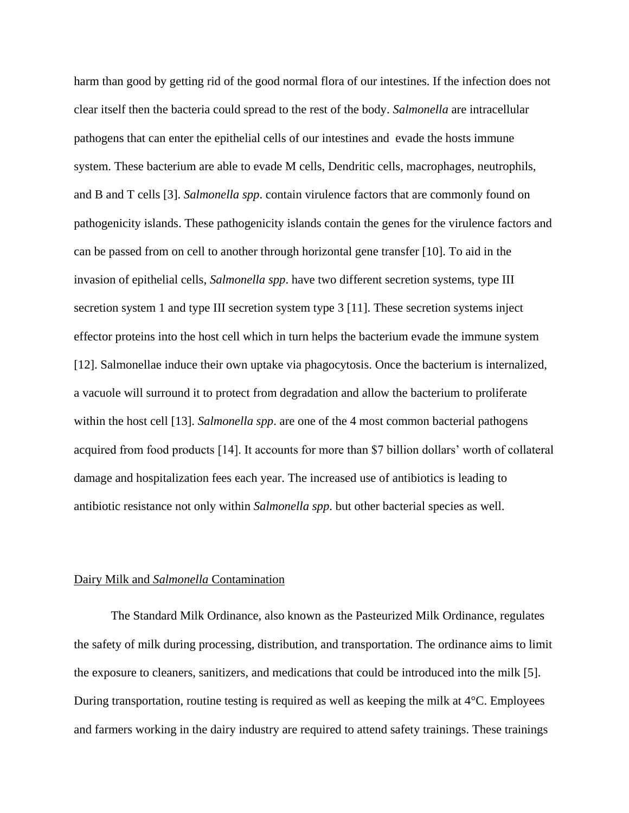harm than good by getting rid of the good normal flora of our intestines. If the infection does not clear itself then the bacteria could spread to the rest of the body. *Salmonella* are intracellular pathogens that can enter the epithelial cells of our intestines and evade the hosts immune system. These bacterium are able to evade M cells, Dendritic cells, macrophages, neutrophils, and B and T cells [3]. *Salmonella spp*. contain virulence factors that are commonly found on pathogenicity islands. These pathogenicity islands contain the genes for the virulence factors and can be passed from on cell to another through horizontal gene transfer [10]. To aid in the invasion of epithelial cells, *Salmonella spp*. have two different secretion systems, type III secretion system 1 and type III secretion system type 3 [11]. These secretion systems inject effector proteins into the host cell which in turn helps the bacterium evade the immune system [12]. Salmonellae induce their own uptake via phagocytosis. Once the bacterium is internalized, a vacuole will surround it to protect from degradation and allow the bacterium to proliferate within the host cell [13]. *Salmonella spp*. are one of the 4 most common bacterial pathogens acquired from food products [14]. It accounts for more than \$7 billion dollars' worth of collateral damage and hospitalization fees each year. The increased use of antibiotics is leading to antibiotic resistance not only within *Salmonella spp*. but other bacterial species as well.

#### Dairy Milk and *Salmonella* Contamination

The Standard Milk Ordinance, also known as the Pasteurized Milk Ordinance, regulates the safety of milk during processing, distribution, and transportation. The ordinance aims to limit the exposure to cleaners, sanitizers, and medications that could be introduced into the milk [5]. During transportation, routine testing is required as well as keeping the milk at 4°C. Employees and farmers working in the dairy industry are required to attend safety trainings. These trainings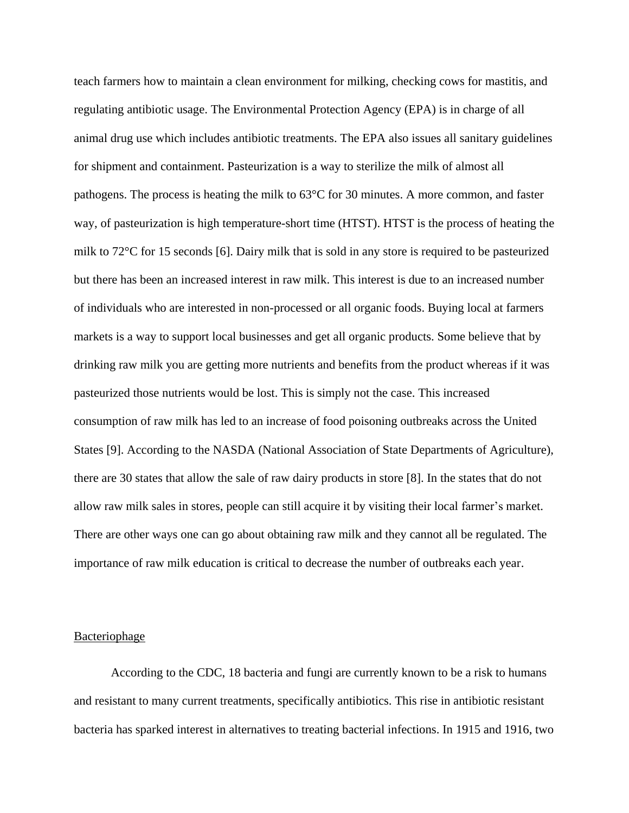teach farmers how to maintain a clean environment for milking, checking cows for mastitis, and regulating antibiotic usage. The Environmental Protection Agency (EPA) is in charge of all animal drug use which includes antibiotic treatments. The EPA also issues all sanitary guidelines for shipment and containment. Pasteurization is a way to sterilize the milk of almost all pathogens. The process is heating the milk to 63°C for 30 minutes. A more common, and faster way, of pasteurization is high temperature-short time (HTST). HTST is the process of heating the milk to 72°C for 15 seconds [6]. Dairy milk that is sold in any store is required to be pasteurized but there has been an increased interest in raw milk. This interest is due to an increased number of individuals who are interested in non-processed or all organic foods. Buying local at farmers markets is a way to support local businesses and get all organic products. Some believe that by drinking raw milk you are getting more nutrients and benefits from the product whereas if it was pasteurized those nutrients would be lost. This is simply not the case. This increased consumption of raw milk has led to an increase of food poisoning outbreaks across the United States [9]. According to the NASDA (National Association of State Departments of Agriculture), there are 30 states that allow the sale of raw dairy products in store [8]. In the states that do not allow raw milk sales in stores, people can still acquire it by visiting their local farmer's market. There are other ways one can go about obtaining raw milk and they cannot all be regulated. The importance of raw milk education is critical to decrease the number of outbreaks each year.

#### Bacteriophage

According to the CDC, 18 bacteria and fungi are currently known to be a risk to humans and resistant to many current treatments, specifically antibiotics. This rise in antibiotic resistant bacteria has sparked interest in alternatives to treating bacterial infections. In 1915 and 1916, two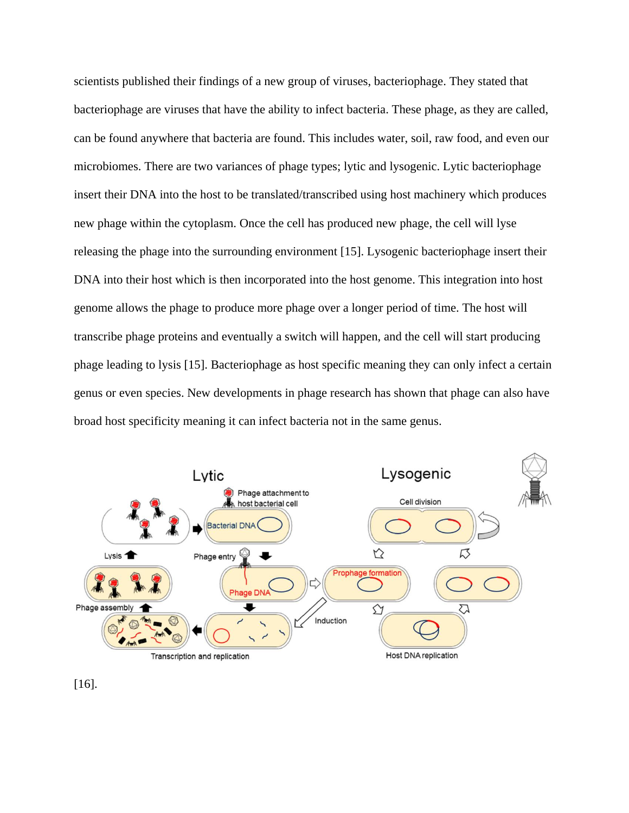scientists published their findings of a new group of viruses, bacteriophage. They stated that bacteriophage are viruses that have the ability to infect bacteria. These phage, as they are called, can be found anywhere that bacteria are found. This includes water, soil, raw food, and even our microbiomes. There are two variances of phage types; lytic and lysogenic. Lytic bacteriophage insert their DNA into the host to be translated/transcribed using host machinery which produces new phage within the cytoplasm. Once the cell has produced new phage, the cell will lyse releasing the phage into the surrounding environment [15]. Lysogenic bacteriophage insert their DNA into their host which is then incorporated into the host genome. This integration into host genome allows the phage to produce more phage over a longer period of time. The host will transcribe phage proteins and eventually a switch will happen, and the cell will start producing phage leading to lysis [15]. Bacteriophage as host specific meaning they can only infect a certain genus or even species. New developments in phage research has shown that phage can also have broad host specificity meaning it can infect bacteria not in the same genus.



[16].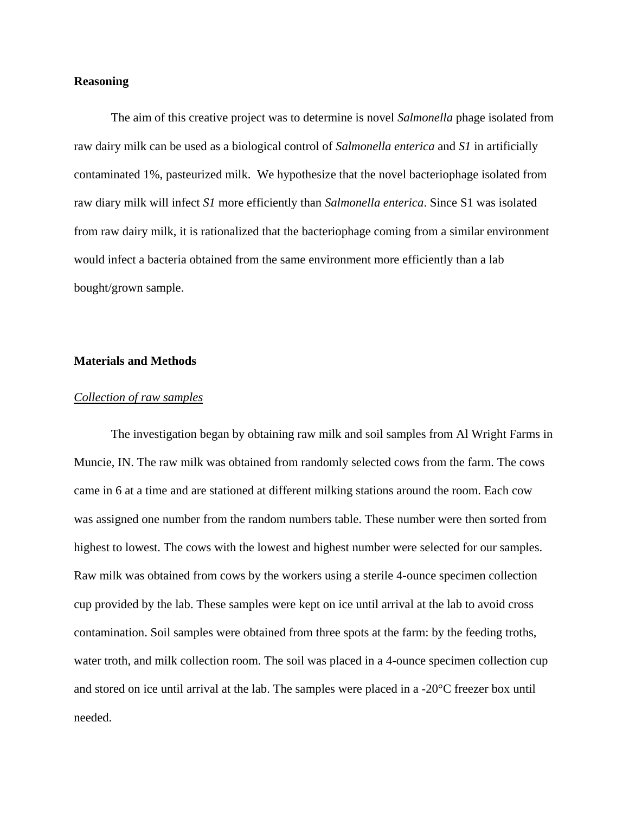### **Reasoning**

The aim of this creative project was to determine is novel *Salmonella* phage isolated from raw dairy milk can be used as a biological control of *Salmonella enterica* and *S1* in artificially contaminated 1%, pasteurized milk. We hypothesize that the novel bacteriophage isolated from raw diary milk will infect *S1* more efficiently than *Salmonella enterica*. Since S1 was isolated from raw dairy milk, it is rationalized that the bacteriophage coming from a similar environment would infect a bacteria obtained from the same environment more efficiently than a lab bought/grown sample.

#### **Materials and Methods**

#### *Collection of raw samples*

The investigation began by obtaining raw milk and soil samples from Al Wright Farms in Muncie, IN. The raw milk was obtained from randomly selected cows from the farm. The cows came in 6 at a time and are stationed at different milking stations around the room. Each cow was assigned one number from the random numbers table. These number were then sorted from highest to lowest. The cows with the lowest and highest number were selected for our samples. Raw milk was obtained from cows by the workers using a sterile 4-ounce specimen collection cup provided by the lab. These samples were kept on ice until arrival at the lab to avoid cross contamination. Soil samples were obtained from three spots at the farm: by the feeding troths, water troth, and milk collection room. The soil was placed in a 4-ounce specimen collection cup and stored on ice until arrival at the lab. The samples were placed in a -20°C freezer box until needed.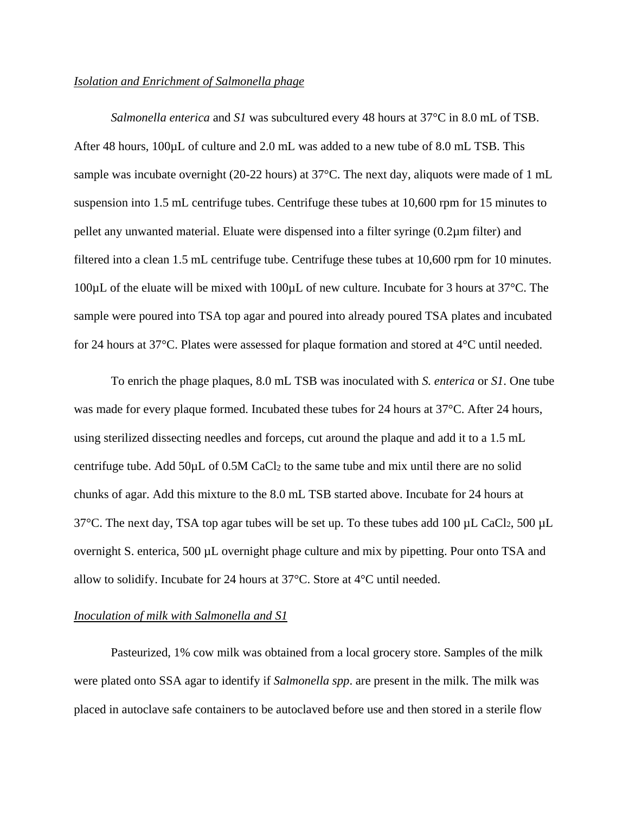### *Isolation and Enrichment of Salmonella phage*

*Salmonella enterica* and *S1* was subcultured every 48 hours at 37°C in 8.0 mL of TSB. After 48 hours,  $100 \mu L$  of culture and 2.0 mL was added to a new tube of 8.0 mL TSB. This sample was incubate overnight (20-22 hours) at 37°C. The next day, aliquots were made of 1 mL suspension into 1.5 mL centrifuge tubes. Centrifuge these tubes at 10,600 rpm for 15 minutes to pellet any unwanted material. Eluate were dispensed into a filter syringe (0.2µm filter) and filtered into a clean 1.5 mL centrifuge tube. Centrifuge these tubes at 10,600 rpm for 10 minutes. 100µL of the eluate will be mixed with 100µL of new culture. Incubate for 3 hours at 37°C. The sample were poured into TSA top agar and poured into already poured TSA plates and incubated for 24 hours at 37°C. Plates were assessed for plaque formation and stored at 4°C until needed.

To enrich the phage plaques, 8.0 mL TSB was inoculated with *S. enterica* or *S1*. One tube was made for every plaque formed. Incubated these tubes for 24 hours at 37°C. After 24 hours, using sterilized dissecting needles and forceps, cut around the plaque and add it to a 1.5 mL centrifuge tube. Add  $50\mu$ L of 0.5M CaCl<sub>2</sub> to the same tube and mix until there are no solid chunks of agar. Add this mixture to the 8.0 mL TSB started above. Incubate for 24 hours at  $37^{\circ}$ C. The next day, TSA top agar tubes will be set up. To these tubes add 100 µL CaCl<sub>2</sub>, 500 µL overnight S. enterica, 500 µL overnight phage culture and mix by pipetting. Pour onto TSA and allow to solidify. Incubate for 24 hours at 37°C. Store at 4°C until needed.

### *Inoculation of milk with Salmonella and S1*

Pasteurized, 1% cow milk was obtained from a local grocery store. Samples of the milk were plated onto SSA agar to identify if *Salmonella spp*. are present in the milk. The milk was placed in autoclave safe containers to be autoclaved before use and then stored in a sterile flow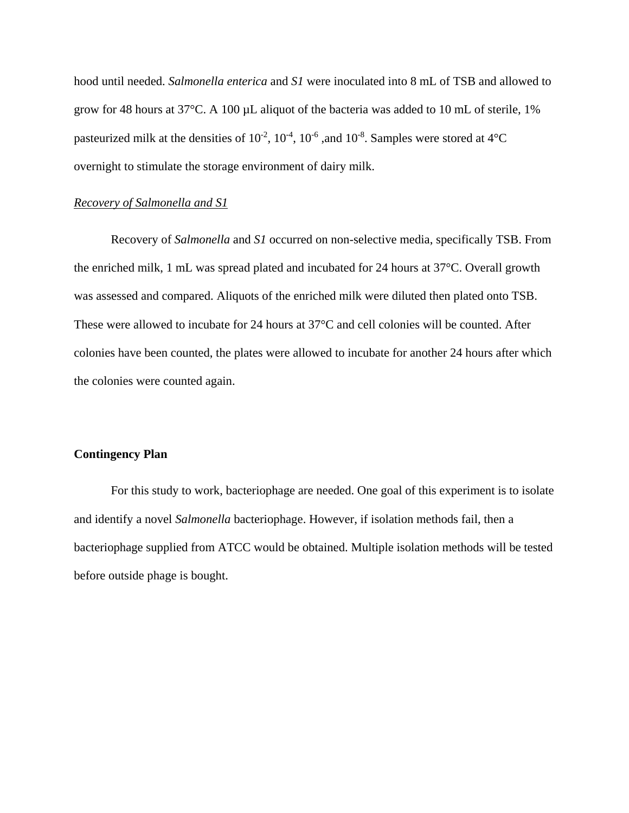hood until needed. *Salmonella enterica* and *S1* were inoculated into 8 mL of TSB and allowed to grow for 48 hours at  $37^{\circ}$ C. A 100 µL aliquot of the bacteria was added to 10 mL of sterile, 1% pasteurized milk at the densities of  $10^{-2}$ ,  $10^{-4}$ ,  $10^{-6}$ , and  $10^{-8}$ . Samples were stored at  $4^{\circ}$ C overnight to stimulate the storage environment of dairy milk.

### *Recovery of Salmonella and S1*

Recovery of *Salmonella* and *S1* occurred on non-selective media, specifically TSB. From the enriched milk, 1 mL was spread plated and incubated for 24 hours at 37°C. Overall growth was assessed and compared. Aliquots of the enriched milk were diluted then plated onto TSB. These were allowed to incubate for 24 hours at 37°C and cell colonies will be counted. After colonies have been counted, the plates were allowed to incubate for another 24 hours after which the colonies were counted again.

### **Contingency Plan**

For this study to work, bacteriophage are needed. One goal of this experiment is to isolate and identify a novel *Salmonella* bacteriophage. However, if isolation methods fail, then a bacteriophage supplied from ATCC would be obtained. Multiple isolation methods will be tested before outside phage is bought.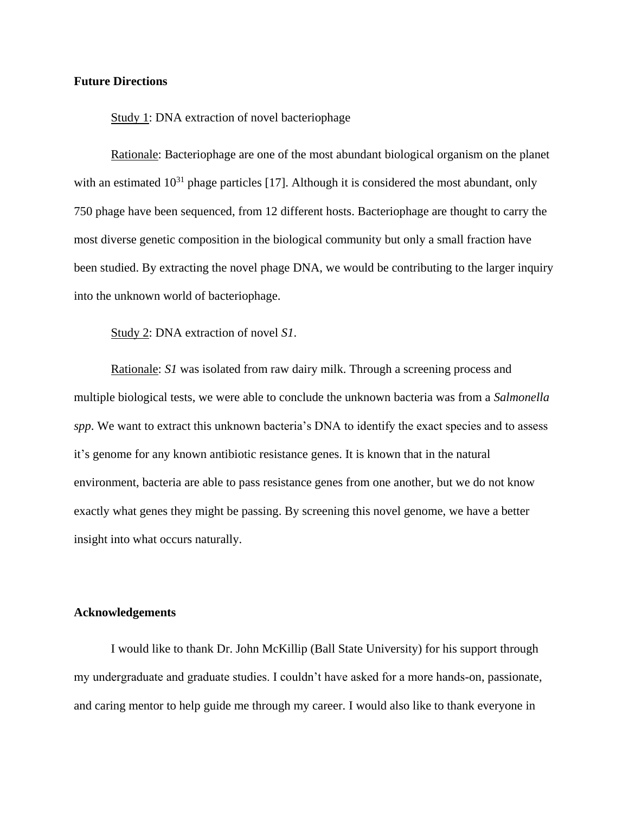#### **Future Directions**

#### Study 1: DNA extraction of novel bacteriophage

Rationale: Bacteriophage are one of the most abundant biological organism on the planet with an estimated  $10^{31}$  phage particles [17]. Although it is considered the most abundant, only 750 phage have been sequenced, from 12 different hosts. Bacteriophage are thought to carry the most diverse genetic composition in the biological community but only a small fraction have been studied. By extracting the novel phage DNA, we would be contributing to the larger inquiry into the unknown world of bacteriophage.

#### Study 2: DNA extraction of novel *S1*.

Rationale: *S1* was isolated from raw dairy milk. Through a screening process and multiple biological tests, we were able to conclude the unknown bacteria was from a *Salmonella spp*. We want to extract this unknown bacteria's DNA to identify the exact species and to assess it's genome for any known antibiotic resistance genes. It is known that in the natural environment, bacteria are able to pass resistance genes from one another, but we do not know exactly what genes they might be passing. By screening this novel genome, we have a better insight into what occurs naturally.

### **Acknowledgements**

I would like to thank Dr. John McKillip (Ball State University) for his support through my undergraduate and graduate studies. I couldn't have asked for a more hands-on, passionate, and caring mentor to help guide me through my career. I would also like to thank everyone in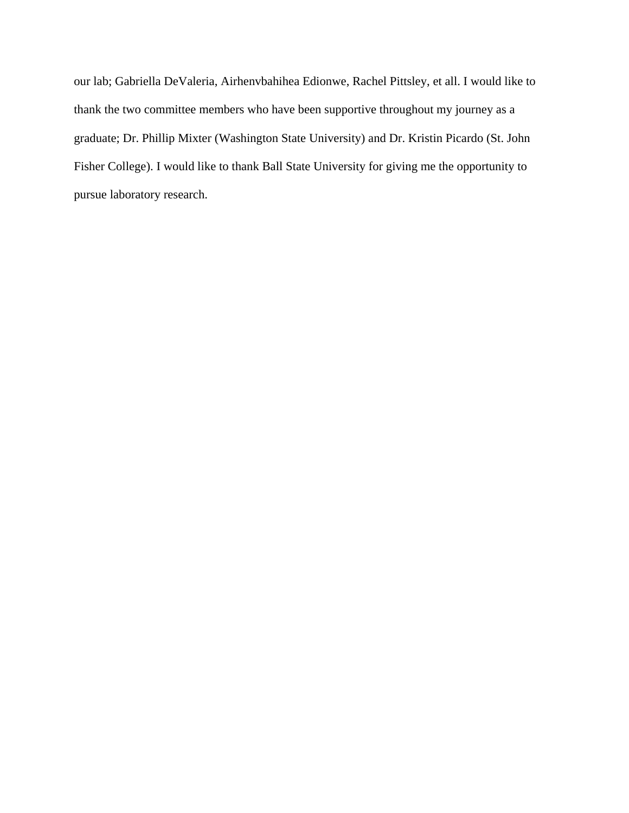our lab; Gabriella DeValeria, Airhenvbahihea Edionwe, Rachel Pittsley, et all. I would like to thank the two committee members who have been supportive throughout my journey as a graduate; Dr. Phillip Mixter (Washington State University) and Dr. Kristin Picardo (St. John Fisher College). I would like to thank Ball State University for giving me the opportunity to pursue laboratory research.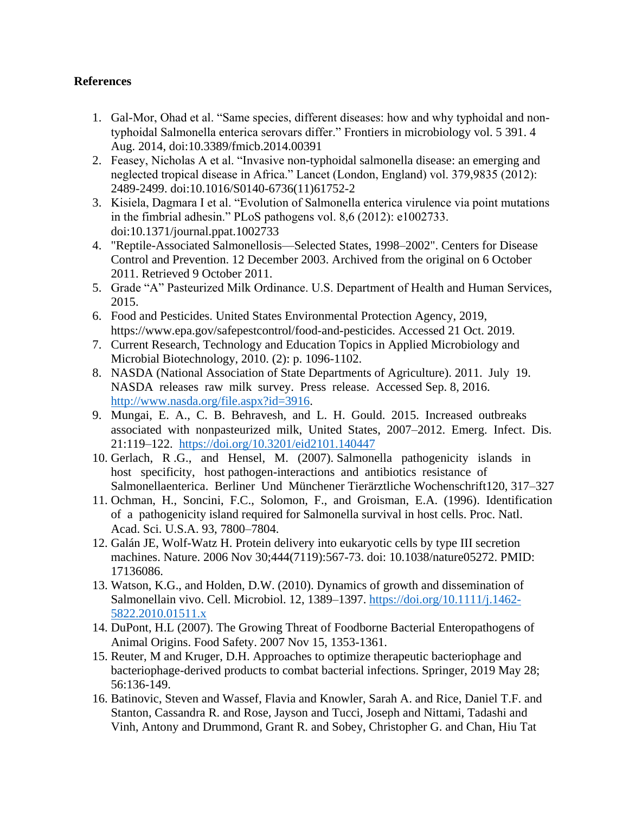### **References**

- 1. Gal-Mor, Ohad et al. "Same species, different diseases: how and why typhoidal and nontyphoidal Salmonella enterica serovars differ." Frontiers in microbiology vol. 5 391. 4 Aug. 2014, doi:10.3389/fmicb.2014.00391
- 2. Feasey, Nicholas A et al. "Invasive non-typhoidal salmonella disease: an emerging and neglected tropical disease in Africa." Lancet (London, England) vol. 379,9835 (2012): 2489-2499. doi:10.1016/S0140-6736(11)61752-2
- 3. Kisiela, Dagmara I et al. "Evolution of Salmonella enterica virulence via point mutations in the fimbrial adhesin." PLoS pathogens vol. 8,6 (2012): e1002733. doi:10.1371/journal.ppat.1002733
- 4. "Reptile-Associated Salmonellosis—Selected States, 1998–2002". Centers for Disease Control and Prevention. 12 December 2003. Archived from the original on 6 October 2011. Retrieved 9 October 2011.
- 5. Grade "A" Pasteurized Milk Ordinance. U.S. Department of Health and Human Services, 2015.
- 6. Food and Pesticides. United States Environmental Protection Agency, 2019, https://www.epa.gov/safepestcontrol/food-and-pesticides. Accessed 21 Oct. 2019.
- 7. Current Research, Technology and Education Topics in Applied Microbiology and Microbial Biotechnology, 2010. (2): p. 1096-1102.
- 8. NASDA (National Association of State Departments of Agriculture). 2011. July 19. NASDA releases raw milk survey. Press release. Accessed Sep. 8, 2016. [http://www.nasda.org/file.aspx?id=3916.](http://www.nasda.org/file.aspx?id=3916)
- 9. Mungai, E. A., C. B. Behravesh, and L. H. Gould. 2015. Increased outbreaks associated with nonpasteurized milk, United States, 2007–2012. Emerg. Infect. Dis. 21:119–122. <https://doi.org/10.3201/eid2101.140447>
- 10. Gerlach, R .G., and Hensel, M. (2007). Salmonella pathogenicity islands in host specificity, host pathogen-interactions and antibiotics resistance of Salmonellaenterica. Berliner Und Münchener Tierärztliche Wochenschrift120, 317–327
- 11. Ochman, H., Soncini, F.C., Solomon, F., and Groisman, E.A. (1996). Identification of a pathogenicity island required for Salmonella survival in host cells. Proc. Natl. Acad. Sci. U.S.A. 93, 7800–7804.
- 12. Galán JE, Wolf-Watz H. Protein delivery into eukaryotic cells by type III secretion machines. Nature. 2006 Nov 30;444(7119):567-73. doi: 10.1038/nature05272. PMID: 17136086.
- 13. Watson, K.G., and Holden, D.W. (2010). Dynamics of growth and dissemination of Salmonellain vivo. Cell. Microbiol. 12, 1389-1397. [https://doi.org/10.1111/j.1462-](https://doi.org/10.1111/j.1462-5822.2010.01511.x) [5822.2010.01511.x](https://doi.org/10.1111/j.1462-5822.2010.01511.x)
- 14. DuPont, H.L (2007). The Growing Threat of Foodborne Bacterial Enteropathogens of Animal Origins. Food Safety. 2007 Nov 15, 1353-1361.
- 15. Reuter, M and Kruger, D.H. Approaches to optimize therapeutic bacteriophage and bacteriophage-derived products to combat bacterial infections. Springer, 2019 May 28; 56:136-149.
- 16. Batinovic, Steven and Wassef, Flavia and Knowler, Sarah A. and Rice, Daniel T.F. and Stanton, Cassandra R. and Rose, Jayson and Tucci, Joseph and Nittami, Tadashi and Vinh, Antony and Drummond, Grant R. and Sobey, Christopher G. and Chan, Hiu Tat